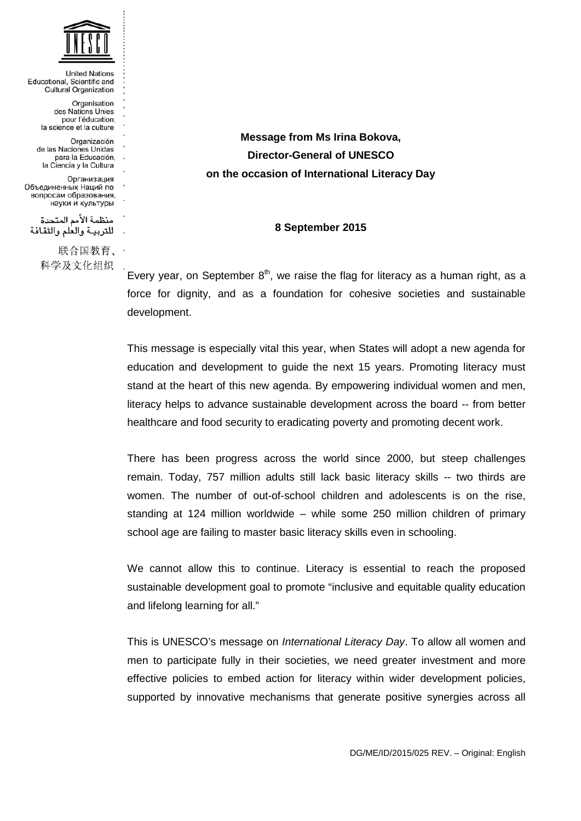

**United Nations** Educational, Scientific and Cultural Organization Organisation des Nations Unies pour l'éducation, la science et la culture Organización de las Naciones Linidas para la Educación. la Ciencia y la Cultura Организация Объединенных Наций по вопросам образования, науки и культуры منظمة الأمم المتحدة للتربية والعلم والثقافة 联合国教育、 科学及文化组织

**Message from Ms Irina Bokova, Director-General of UNESCO on the occasion of International Literacy Day**

## **8 September 2015**

Every year, on September  $8<sup>th</sup>$ , we raise the flag for literacy as a human right, as a force for dignity, and as a foundation for cohesive societies and sustainable development.

This message is especially vital this year, when States will adopt a new agenda for education and development to guide the next 15 years. Promoting literacy must stand at the heart of this new agenda. By empowering individual women and men, literacy helps to advance sustainable development across the board -- from better healthcare and food security to eradicating poverty and promoting decent work.

There has been progress across the world since 2000, but steep challenges remain. Today, 757 million adults still lack basic literacy skills -- two thirds are women. The number of out-of-school children and adolescents is on the rise, standing at 124 million worldwide – while some 250 million children of primary school age are failing to master basic literacy skills even in schooling.

We cannot allow this to continue. Literacy is essential to reach the proposed sustainable development goal to promote "inclusive and equitable quality education and lifelong learning for all."

This is UNESCO's message on *International Literacy Day*. To allow all women and men to participate fully in their societies, we need greater investment and more effective policies to embed action for literacy within wider development policies, supported by innovative mechanisms that generate positive synergies across all